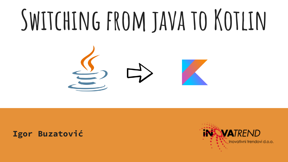# **Switching from java to Kotlin**



### **Igor Buzatović**

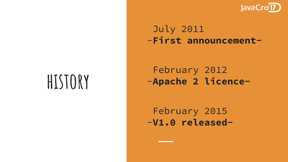

### July 2011 -**First announcement-**

### February 2012 -**Apache 2 licence-**

February 2015 -**V1.0 released-**

## **history**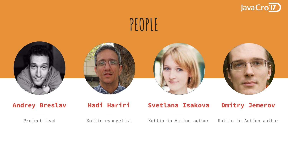

### **PEOPLE**









### **Andrey Breslav**

**Hadi Hariri**

Project lead

Kotlin evangelist

**Svetlana Isakova**

Kotlin in Action author

Kotlin in Action author

**Dmitry Jemerov**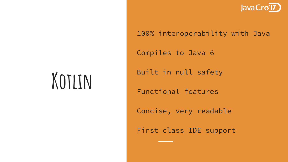![](_page_3_Picture_0.jpeg)

### 100% interoperability with Java

Compiles to Java 6

### Built in null safety

Functional features

Concise, very readable

First class IDE support

## **Kotlin**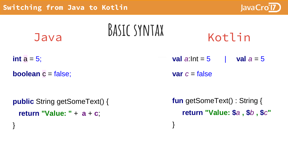}

![](_page_4_Picture_1.jpeg)

| Java                                                                 | <b>BASIC SYNTAX</b> | Kotlin                                                              |             |
|----------------------------------------------------------------------|---------------------|---------------------------------------------------------------------|-------------|
| int $a = 5$ ;                                                        |                     | <b>val</b> $a:$ Int = $5$                                           | val $a = 5$ |
| <b>boolean</b> $c = false$ ;                                         |                     | var $c = false$                                                     |             |
| <b>public</b> String getSomeText() {<br>return "Value: " + $a + c$ . |                     | <b>fun</b> getSomeText(): String {<br>return "Value: \$a, \$b, \$c" |             |

}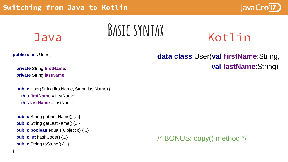![](_page_5_Picture_1.jpeg)

## **Basic syntax** Java Kotlin

**public class** User {

}

}

**private** String **firstName**; **private** String **lastName**;

```
public User(String firstName, String lastName) {
  this.firstName = firstName;
  this.lastName = lastName;
```

```
public String getFirstName() {...}
public String getLastName() {...}
public boolean equals(Object o) {...}
public int hashCode() {...}
public String toString() {...}
```
**data class** User(**val firstName**:String, **val lastName**:String)

![](_page_5_Picture_10.jpeg)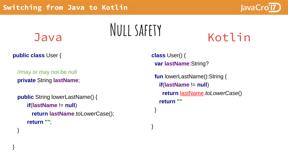![](_page_6_Picture_1.jpeg)

## **Java** NULL SAFETY Kotlin

**public class** User {

}

}

//may or may not be null **private** String **lastName**;

```
public String lowerLastName() {
   if(lastName != null)
     return lastName.toLowerCase();
   return "";
```
**class** User() { **var lastName**:String?

}

}

**fun** lowerLastName():String { **if**(**lastName** != **null**) **return** lastName.*toLowerCase*() **return ""**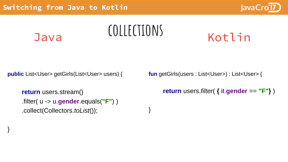![](_page_7_Picture_1.jpeg)

![](_page_7_Figure_2.jpeg)

}

### **Java** COLLECTIONS

}

**public** List<User> getGirls(List<User> users) {

```
return users.stream()
.filter( u -> u.gender.equals("F") )
.collect(Collectors.toList());
```
**fun** getGirls(users : List<User>) : List<User> {

```
return users.filter( { it.gender == "F"} )
```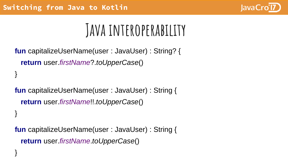}

}

![](_page_8_Picture_1.jpeg)

### **Java interoperability**

```
fun capitalizeUserName(user : JavaUser) : String? {
 return user.firstName?.toUpperCase()
}
```
**fun** capitalizeUserName(user : JavaUser) : String { **return** user.*firstName*!!.*toUpperCase*()

**fun** capitalizeUserName(user : JavaUser) : String { **return** user.*firstName*.*toUpperCase*()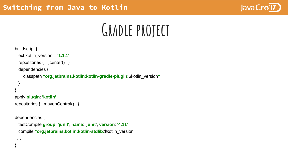![](_page_9_Picture_1.jpeg)

## **Gradle project**

```
buildscript {
 ext.kotlin_version = '1.1.1'
  repositories { jcenter() }
 dependencies {
    classpath "org.jetbrains.kotlin:kotlin-gradle-plugin:$kotlin_version"
 }
}
apply plugin: 'kotlin'
repositories { mavenCentral() }
dependencies {
 testCompile group: 'junit', name: 'junit', version: '4.11'
 compile "org.jetbrains.kotlin:kotlin-stdlib:$kotlin_version"
 ...
}
```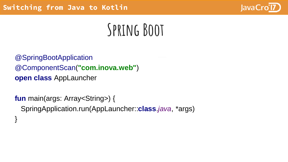![](_page_10_Picture_1.jpeg)

## **Spring Boot**

@SpringBootApplication @ComponentScan(**"com.inova.web"**) **open class** AppLauncher

**fun** main(args: Array<String>) { SpringApplication.run(AppLauncher::**class**.*java*, \*args) }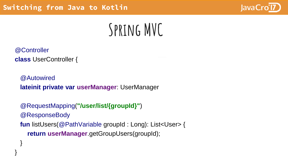![](_page_11_Picture_1.jpeg)

## **Spring MVC**

@Controller

}

}

**class** UserController {

@Autowired **lateinit private var userManager**: UserManager

@RequestMapping(**"/user/list/{groupId}"**) @ResponseBody **fun** listUsers(@PathVariable groupId : Long): List<User> { **return userManager**.getGroupUsers(groupId);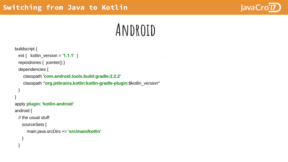![](_page_12_Picture_1.jpeg)

### **Android**

```
buildscript {
 ext { kotlin_version = '1.1.1' }
  repositories { jcenter() }
 dependencies {
    classpath 'com.android.tools.build:gradle:2.2.2'
    classpath "org.jetbrains.kotlin:kotlin-gradle-plugin:$kotlin_version"
 }
}
apply plugin: 'kotlin-android'
android {
 // the usual stuff
   sourceSets {
      main.java.srcDirs += 'src/main/kotlin'
    }
  }
```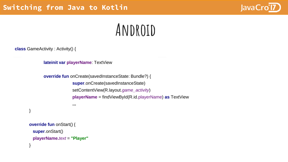![](_page_13_Picture_1.jpeg)

### **Android**

**class** GameActivity : Activity() {

}

**lateinit var playerName: TextView** 

**...**

**override fun** onCreate(savedInstanceState: Bundle?) { **super**.onCreate(savedInstanceState) setContentView(R.layout.*game\_activity*) **playerName** = findViewById(R.id.playerName) **as** TextView

```
override fun onStart() {
 super.onStart()
 playerName.text = "Player"
}
```